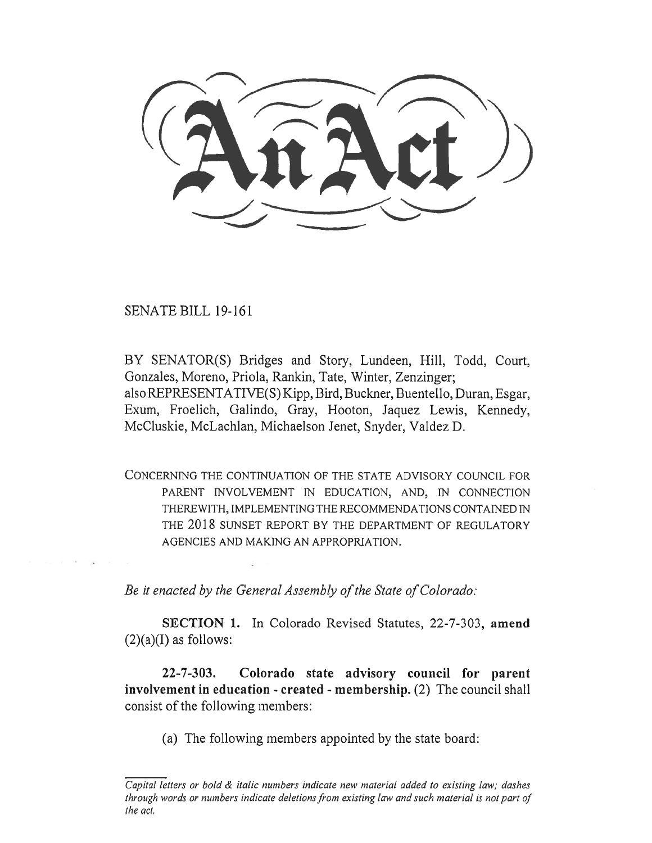SENATE BILL 19-161

BY SENATOR(S) Bridges and Story, Lundeen, Hill, Todd, Court, Gonzales, Moreno, Priola, Rankin, Tate, Winter, Zenzinger; also REPRESENTATIVE(S) Kipp, Bird, Buckner, Buentello, Duran, Esgar, Exum, Froelich, Galindo, Gray, Hooton, Jaquez Lewis, Kennedy, McCluskie, McLachlan, Michaelson Jenet, Snyder, Valdez D.

CONCERNING THE CONTINUATION OF THE STATE ADVISORY COUNCIL FOR PARENT INVOLVEMENT IN EDUCATION, AND, IN CONNECTION THEREWITH, IMPLEMENTING THE RECOMMENDATIONS CONTAINED IN THE 2018 SUNSET REPORT BY THE DEPARTMENT OF REGULATORY AGENCIES AND MAKING AN APPROPRIATION.

*Be it enacted by the General Assembly of the State of Colorado:* 

**SECTION 1.** In Colorado Revised Statutes, 22-7-303, **amend**   $(2)(a)(I)$  as follows:

**22-7-303. Colorado state advisory council for parent involvement in education - created - membership.** (2) The council shall consist of the following members:

(a) The following members appointed by the state board:

*Capital letters or bold & italic numbers indicate new material added to existing law; dashes through words or numbers indicate deletions from existing law and such material is not part of the act.*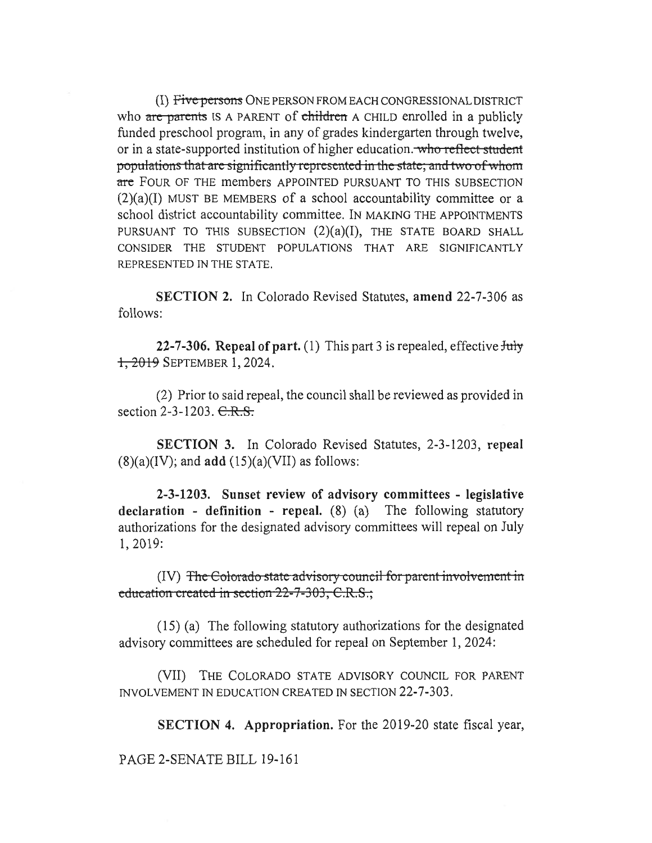(I) Five persons ONE PERSON FROM EACH CONGRESSIONAL DISTRICT who are parents IS A PARENT of children A CHILD enrolled in a publicly funded preschool program, in any of grades kindergarten through twelve, or in a state-supported institution of higher education. who reflect student populations that are significantly represented in the state; and two of whom are FOUR OF THE members APPOINTED PURSUANT TO THIS SUBSECTION  $(2)(a)(I)$  MUST BE MEMBERS of a school accountability committee or a school district accountability committee. IN MAKING THE APPOINTMENTS PURSUANT TO THIS SUBSECTION  $(2)(a)(I)$ , THE STATE BOARD SHALL CONSIDER THE STUDENT POPULATIONS THAT ARE SIGNIFICANTLY REPRESENTED IN THE STATE.

**SECTION 2.** In Colorado Revised Statutes, **amend** 22-7-306 as follows:

**22-7-306. Repeal of part.** (1) This part 3 is repealed, effective July , 2013 SEPTEMBER 1, 2024.

(2) Prior to said repeal, the council shall be reviewed as provided in section 2-3-1203.  $C.R.S.$ 

**SECTION 3.** In Colorado Revised Statutes, 2-3-1203, **repeal**   $(8)(a)(IV)$ ; and **add**  $(15)(a)(V)$  as follows:

**2-3-1203. Sunset review of advisory committees - legislative declaration - definition - repeal.** (8) (a) The following statutory authorizations for the designated advisory committees will repeal on July 1, 2019:

(IV) The Colorado state advisory council for parent involvement in **education created in section 22-7-303, C.R.S.,** 

(15) (a) The following statutory authorizations for the designated advisory committees are scheduled for repeal on September 1, 2024:

(VII) THE COLORADO STATE ADVISORY COUNCIL FOR PARENT INVOLVEMENT IN EDUCATION CREATED IN SECTION 22-7-303.

**SECTION 4. Appropriation.** For the 2019-20 state fiscal year,

PAGE 2-SENATE BILL 19-161